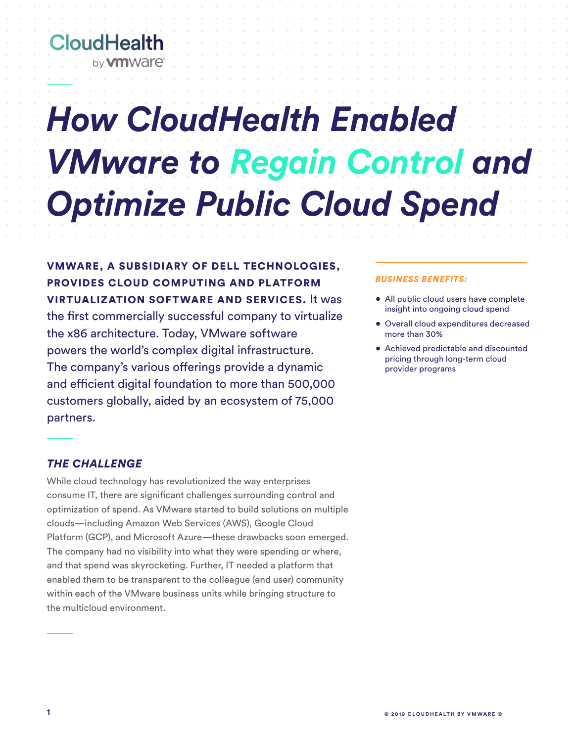# **CloudHealth** by **vm** ware

# *How CloudHealth Enabled VMware to Regain Control and Optimize Public Cloud Spend*

VMWARE, A SUBSIDIARY OF DELL TECHNOLOGIES, PROVIDES CLOUD COMPUTING AND PLATFORM VIRTUALIZATION SOFTWARE AND SERVICES. It was the first commercially successful company to virtualize the x86 architecture. Today, VMware software powers the world's complex digital infrastructure. The company's various offerings provide a dynamic and efficient digital foundation to more than 500,000 customers globally, aided by an ecosystem of 75,000 partners.

#### *BUSINESS BENEFITS:*

- All public cloud users have complete insight into ongoing cloud spend
- Overall cloud expenditures decreased more than 30%
- Achieved predictable and discounted pricing through long-term cloud provider programs

# *THE CHALLENGE*

While cloud technology has revolutionized the way enterprises consume IT, there are significant challenges surrounding control and optimization of spend. As VMware started to build solutions on multiple clouds—including Amazon Web Services (AWS), Google Cloud Platform (GCP), and Microsoft Azure—these drawbacks soon emerged. The company had no visibility into what they were spending or where, and that spend was skyrocketing. Further, IT needed a platform that enabled them to be transparent to the colleague (end user) community within each of the VMware business units while bringing structure to the multicloud environment.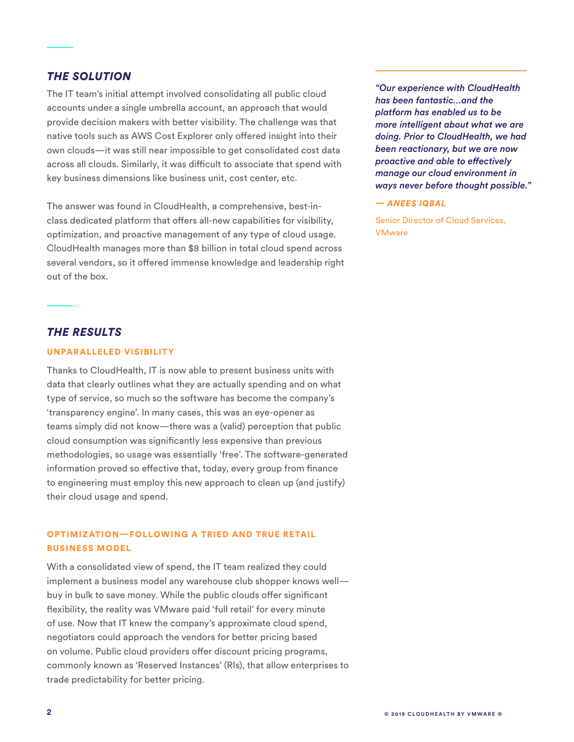# *THE SOLUTION*

The IT team's initial attempt involved consolidating all public cloud accounts under a single umbrella account, an approach that would provide decision makers with better visibility. The challenge was that native tools such as AWS Cost Explorer only offered insight into their own clouds—it was still near impossible to get consolidated cost data across all clouds. Similarly, it was difficult to associate that spend with key business dimensions like business unit, cost center, etc.

The answer was found in CloudHealth, a comprehensive, best-inclass dedicated platform that offers all-new capabilities for visibility, optimization, and proactive management of any type of cloud usage. CloudHealth manages more than \$8 billion in total cloud spend across several vendors, so it offered immense knowledge and leadership right out of the box.

*"Our experience with CloudHealth has been fantastic…and the platform has enabled us to be more intelligent about what we are doing. Prior to CloudHealth, we had been reactionary, but we are now proactive and able to effectively manage our cloud environment in ways never before thought possible."* 

#### *— ANEES IQBAL*

Senior Director of Cloud Services, **VMware** 

# *THE RESULTS*

#### UNPARALLELED VISIBILITY

Thanks to CloudHealth, IT is now able to present business units with data that clearly outlines what they are actually spending and on what type of service, so much so the software has become the company's 'transparency engine'. In many cases, this was an eye-opener as teams simply did not know—there was a (valid) perception that public cloud consumption was significantly less expensive than previous methodologies, so usage was essentially 'free'. The software-generated information proved so effective that, today, every group from finance to engineering must employ this new approach to clean up (and justify) their cloud usage and spend.

## OPTIMIZATION—FOLLOWING A TRIED AND TRUE RETAIL BUSINESS MODEL

With a consolidated view of spend, the IT team realized they could implement a business model any warehouse club shopper knows well buy in bulk to save money. While the public clouds offer significant flexibility, the reality was VMware paid 'full retail' for every minute of use. Now that IT knew the company's approximate cloud spend, negotiators could approach the vendors for better pricing based on volume. Public cloud providers offer discount pricing programs, commonly known as 'Reserved Instances' (RIs), that allow enterprises to trade predictability for better pricing.